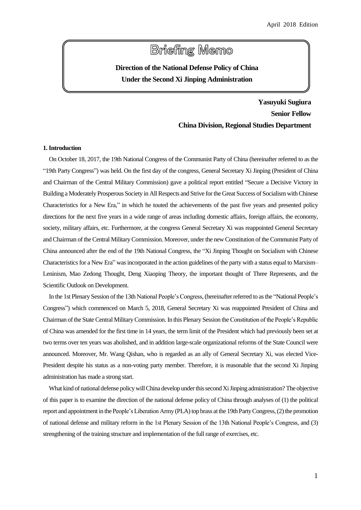# **Briefing Memo**

## **Direction of the National Defense Policy of China Under the Second Xi Jinping Administration**

**Yasuyuki Sugiura Senior Fellow China Division, Regional Studies Department**

#### **1. Introduction**

On October 18, 2017, the 19th National Congress of the Communist Party of China (hereinafter referred to as the "19th Party Congress") was held. On the first day of the congress, General Secretary Xi Jinping (President of China and Chairman of the Central Military Commission) gave a political report entitled "Secure a Decisive Victory in Building a Moderately Prosperous Society in All Respects and Strive for the Great Success of Socialism with Chinese Characteristics for a New Era," in which he touted the achievements of the past five years and presented policy directions for the next five years in a wide range of areas including domestic affairs, foreign affairs, the economy, society, military affairs, etc. Furthermore, at the congress General Secretary Xi was reappointed General Secretary and Chairman of the Central Military Commission. Moreover, under the new Constitution of the Communist Party of China announced after the end of the 19th National Congress, the "Xi Jinping Thought on Socialism with Chinese Characteristics for a New Era" was incorporated in the action guidelines of the party with a status equal to Marxism– Leninism, Mao Zedong Thought, Deng Xiaoping Theory, the important thought of Three Represents, and the Scientific Outlook on Development.

In the 1st Plenary Session of the 13th National People's Congress, (hereinafter referred to as the "National People's Congress") which commenced on March 5, 2018, General Secretary Xi was reappointed President of China and Chairman of the State Central Military Commission. In this Plenary Session the Constitution of the People's Republic of China was amended for the first time in 14 years, the term limit of the President which had previously been set at two terms over ten years was abolished, and in addition large-scale organizational reforms of the State Council were announced. Moreover, Mr. Wang Qishan, who is regarded as an ally of General Secretary Xi, was elected Vice-President despite his status as a non-voting party member. Therefore, it is reasonable that the second Xi Jinping administration has made a strong start.

What kind of national defense policy will China develop under this second Xi Jinping administration? The objective of this paper is to examine the direction of the national defense policy of China through analyses of (1) the political report and appointment in the People's Liberation Army (PLA) top brass at the 19th Party Congress, (2) the promotion of national defense and military reform in the 1st Plenary Session of the 13th National People's Congress, and (3) strengthening of the training structure and implementation of the full range of exercises, etc.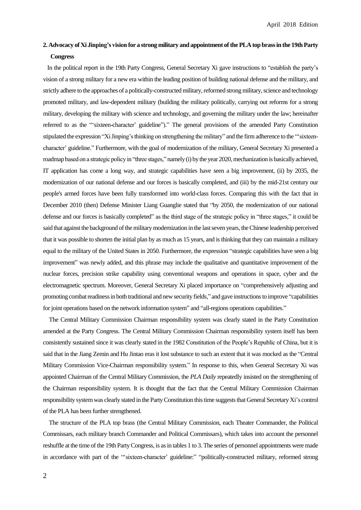### **2. Advocacy of Xi Jinping's vision for a strong military and appointment of the PLAtop brass in the 19th Party Congress**

In the political report in the 19th Party Congress, General Secretary Xi gave instructions to "establish the party's vision of a strong military for a new era within the leading position of building national defense and the military, and strictly adhere to the approaches of a politically-constructed military, reformed strong military, science and technology promoted military, and law-dependent military (building the military politically, carrying out reforms for a strong military, developing the military with science and technology, and governing the military under the law; hereinafter referred to as the "'sixteen-character' guideline")." The general provisions of the amended Party Constitution stipulated the expression "Xi Jinping's thinking on strengthening the military" and the firm adherence to the "'sixteencharacter' guideline." Furthermore, with the goal of modernization of the military, General Secretary Xi presented a roadmap based on a strategic policy in "three stages," namely (i) by the year 2020, mechanization is basically achieved, IT application has come a long way, and strategic capabilities have seen a big improvement, (ii) by 2035, the modernization of our national defense and our forces is basically completed, and (iii) by the mid-21st century our people's armed forces have been fully transformed into world-class forces. Comparing this with the fact that in December 2010 (then) Defense Minister Liang Guanglie stated that "by 2050, the modernization of our national defense and our forces is basically completed" as the third stage of the strategic policy in "three stages," it could be said that against the background of the military modernization in the last seven years, the Chinese leadership perceived that it was possible to shorten the initial plan by as much as 15 years, and isthinking that they can maintain a military equal to the military of the United States in 2050. Furthermore, the expression "strategic capabilities have seen a big improvement" was newly added, and this phrase may include the qualitative and quantitative improvement of the nuclear forces, precision strike capability using conventional weapons and operations in space, cyber and the electromagnetic spectrum. Moreover, General Secretary Xi placed importance on "comprehensively adjusting and promoting combat readiness in both traditional and new security fields," and gave instructions to improve "capabilities for joint operations based on the network information system" and "all-regions operations capabilities."

The Central Military Commission Chairman responsibility system was clearly stated in the Party Constitution amended at the Party Congress. The Central Military Commission Chairman responsibility system itself has been consistently sustained since it was clearly stated in the 1982 Constitution of the People's Republic of China, but it is said that in the Jiang Zemin and Hu Jintao eras it lost substance to such an extent that it was mocked as the "Central Military Commission Vice-Chairman responsibility system." In response to this, when General Secretary Xi was appointed Chairman of the Central Military Commission, the *PLA Daily* repeatedly insisted on the strengthening of the Chairman responsibility system. It is thought that the fact that the Central Military Commission Chairman responsibility system was clearly stated in the Party Constitution this time suggests thatGeneral Secretary Xi's control of the PLA has been further strengthened.

The structure of the PLA top brass (the Central Military Commission, each Theater Commander, the Political Commissars, each military branch Commander and Political Commissars), which takes into account the personnel reshuffle at the time of the 19th Party Congress, is as in tables 1 to 3. The series of personnel appointments were made in accordance with part of the "'sixteen-character' guideline:" "politically-constructed military, reformed strong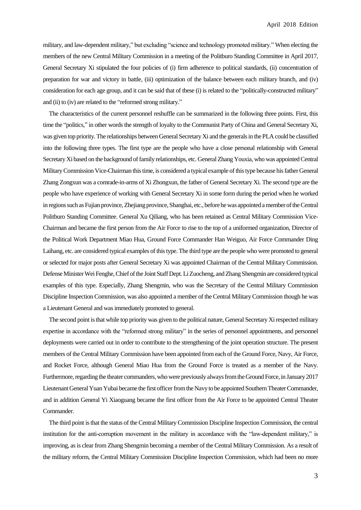military, and law-dependent military," but excluding "science and technology promoted military." When electing the members of the new Central Military Commission in a meeting of the Politburo Standing Committee in April 2017, General Secretary Xi stipulated the four policies of (i) firm adherence to political standards, (ii) concentration of preparation for war and victory in battle, (iii) optimization of the balance between each military branch, and (iv) consideration for each age group, and it can be said that of these (i) is related to the "politically-constructed military" and (ii) to (iv) are related to the "reformed strong military."

The characteristics of the current personnel reshuffle can be summarized in the following three points. First, this time the "politics," in other words the strength of loyalty to the Communist Party of China and General Secretary Xi, was given top priority. The relationships between General Secretary Xi and the generals in the PLA could be classified into the following three types. The first type are the people who have a close personal relationship with General Secretary Xi based on the background of family relationships, etc. General Zhang Youxia, who was appointed Central Military Commission Vice-Chairman this time, is considered a typical example of this type because his father General Zhang Zongxun was a comrade-in-arms of Xi Zhongxun, the father of General Secretary Xi. The second type are the people who have experience of working with General Secretary Xi in some form during the period when he worked in regions such as Fujian province, Zhejiang province, Shanghai, etc., before he was appointed a member of the Central Politburo Standing Committee. General Xu Qiliang, who has been retained as Central Military Commission Vice-Chairman and became the first person from the Air Force to rise to the top of a uniformed organization, Director of the Political Work Department Miao Hua, Ground Force Commander Han Weiguo, Air Force Commander Ding Laihang, etc. are considered typical examples of this type. The third type are the people who were promoted to general or selected for major posts after General Secretary Xi was appointed Chairman of the Central Military Commission. Defense MinisterWei Fenghe,Chief of the Joint Staff Dept.Li Zuocheng, and Zhang Shengmin are considered typical examples of this type. Especially, Zhang Shengmin, who was the Secretary of the Central Military Commission Discipline Inspection Commission, was also appointed a member of the Central Military Commission though he was a Lieutenant General and was immediately promoted to general.

The second point is that while top priority was given to the political nature, General Secretary Xi respected military expertise in accordance with the "reformed strong military" in the series of personnel appointments, and personnel deployments were carried out in order to contribute to the strengthening of the joint operation structure. The present members of the Central Military Commission have been appointed from each of the Ground Force, Navy, Air Force, and Rocket Force, although General Miao Hua from the Ground Force is treated as a member of the Navy. Furthermore, regarding the theater commanders, who were previously always from the Ground Force, in January 2017 Lieutenant General Yuan Yubai became the first officer from the Navy to be appointed Southern TheaterCommander, and in addition General Yi Xiaoguang became the first officer from the Air Force to be appointed Central Theater Commander.

The third point isthat the status of the Central Military Commission Discipline Inspection Commission, the central institution for the anti-corruption movement in the military in accordance with the "law-dependent military," is improving, as is clear from Zhang Shengmin becoming a member of the Central Military Commission. As a result of the military reform, the Central Military Commission Discipline Inspection Commission, which had been no more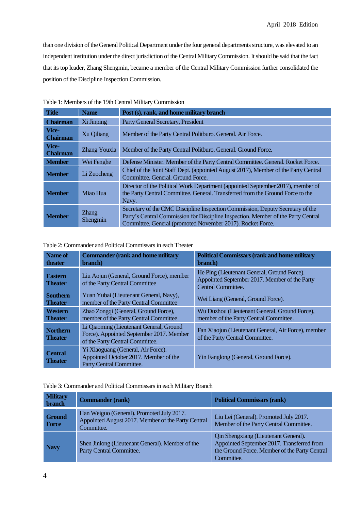than one division of the General Political Department under the four general departments structure, was elevated to an independent institution under the direct jurisdiction of the Central Military Commission. It should be said that the fact that its top leader, Zhang Shengmin, became a member of the Central Military Commission further consolidated the position of the Discipline Inspection Commission.

| <b>Title</b>             | <b>Name</b>              | Post (s), rank, and home military branch                                                                                                                                                                                          |
|--------------------------|--------------------------|-----------------------------------------------------------------------------------------------------------------------------------------------------------------------------------------------------------------------------------|
| <b>Chairman</b>          | Xi Jinping               | Party General Secretary, President                                                                                                                                                                                                |
| Vice-<br><b>Chairman</b> | Xu Qiliang               | Member of the Party Central Politburo. General. Air Force.                                                                                                                                                                        |
| Vice-<br><b>Chairman</b> | <b>Zhang Youxia</b>      | Member of the Party Central Politburo. General. Ground Force.                                                                                                                                                                     |
| <b>Member</b>            | Wei Fenghe               | Defense Minister. Member of the Party Central Committee. General. Rocket Force.                                                                                                                                                   |
| <b>Member</b>            | Li Zuocheng              | Chief of the Joint Staff Dept. (appointed August 2017), Member of the Party Central<br>Committee, General, Ground Force.                                                                                                          |
| <b>Member</b>            | Miao Hua                 | Director of the Political Work Department (appointed September 2017), member of<br>the Party Central Committee. General. Transferred from the Ground Force to the<br>Navy.                                                        |
| <b>Member</b>            | <b>Zhang</b><br>Shengmin | Secretary of the CMC Discipline Inspection Commission, Deputy Secretary of the<br>Party's Central Commission for Discipline Inspection. Member of the Party Central<br>Committee. General (promoted November 2017). Rocket Force. |

Table 1: Members of the 19th Central Military Commission

Table 2: Commander and Political Commissars in each Theater

| Name of<br>theater                | <b>Commander (rank and home military</b><br>branch)                                                                    | <b>Political Commissars (rank and home military</b><br>branch)                                                     |
|-----------------------------------|------------------------------------------------------------------------------------------------------------------------|--------------------------------------------------------------------------------------------------------------------|
| <b>Eastern</b><br><b>Theater</b>  | Liu Aojun (General, Ground Force), member<br>of the Party Central Committee                                            | He Ping (Lieutenant General, Ground Force).<br>Appointed September 2017. Member of the Party<br>Central Committee. |
| <b>Southern</b><br><b>Theater</b> | Yuan Yubai (Lieutenant General, Navy),<br>member of the Party Central Committee                                        | Wei Liang (General, Ground Force).                                                                                 |
| Western<br><b>Theater</b>         | Zhao Zongqi (General, Ground Force),<br>member of the Party Central Committee                                          | Wu Duzhou (Lieutenant General, Ground Force),<br>member of the Party Central Committee.                            |
| <b>Northern</b><br><b>Theater</b> | Li Qiaoming (Lieutenant General, Ground<br>Force). Appointed September 2017. Member<br>of the Party Central Committee. | Fan Xiaojun (Lieutenant General, Air Force), member<br>of the Party Central Committee.                             |
| <b>Central</b><br><b>Theater</b>  | Yi Xiaoguang (General, Air Force).<br>Appointed October 2017. Member of the<br>Party Central Committee.                | Yin Fanglong (General, Ground Force).                                                                              |

Table 3: Commander and Political Commissars in each Military Branch

| <b>Military</b><br><b>branch</b> | <b>Commander (rank)</b>                                                                                       | <b>Political Commissars (rank)</b>                                                                                                                |
|----------------------------------|---------------------------------------------------------------------------------------------------------------|---------------------------------------------------------------------------------------------------------------------------------------------------|
| <b>Ground</b><br><b>Force</b>    | Han Weiguo (General). Promoted July 2017.<br>Appointed August 2017. Member of the Party Central<br>Committee. | Liu Lei (General). Promoted July 2017.<br>Member of the Party Central Committee.                                                                  |
| <b>Navy</b>                      | Shen Jinlong (Lieutenant General). Member of the<br>Party Central Committee.                                  | Qin Shengxiang (Lieutenant General).<br>Appointed September 2017. Transferred from<br>the Ground Force. Member of the Party Central<br>Committee. |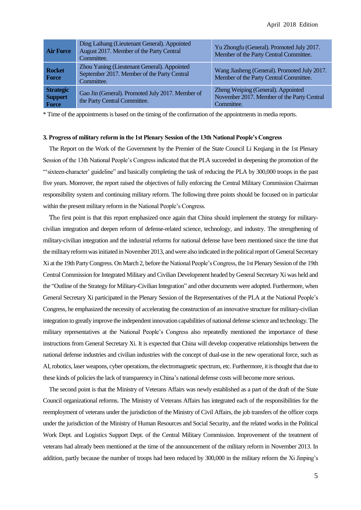| <b>Air Force</b>                            | Ding Laihang (Lieutenant General). Appointed<br>August 2017. Member of the Party Central<br>Committee.   | Yu Zhongfu (General). Promoted July 2017.<br>Member of the Party Central Committee.            |
|---------------------------------------------|----------------------------------------------------------------------------------------------------------|------------------------------------------------------------------------------------------------|
| <b>Rocket</b><br><b>Force</b>               | Zhou Yaning (Lieutenant General). Appointed<br>September 2017. Member of the Party Central<br>Committee. | Wang Jiasheng (General). Promoted July 2017.<br>Member of the Party Central Committee.         |
| <b>Strategic</b><br><b>Support</b><br>Force | Gao Jin (General). Promoted July 2017. Member of<br>the Party Central Committee.                         | Zheng Weiping (General). Appointed<br>November 2017. Member of the Party Central<br>Committee. |

\* Time of the appointmentsis based on the timing of the confirmation of the appointments in media reports.

#### **3. Progress of military reform in the 1st Plenary Session of the 13th National People's Congress**

The Report on the Work of the Government by the Premier of the State Council Li Keqiang in the 1st Plenary Session of the 13th National People's Congress indicated that the PLA succeeded in deepening the promotion of the "'sixteen-character' guideline" and basically completing the task of reducing the PLA by 300,000 troops in the past five years. Moreover, the report raised the objectives of fully enforcing the Central Military Commission Chairman responsibility system and continuing military reform. The following three points should be focused on in particular within the present military reform in the National People's Congress.

The first point is that this report emphasized once again that China should implement the strategy for militarycivilian integration and deepen reform of defense-related science, technology, and industry. The strengthening of military-civilian integration and the industrial reforms for national defense have been mentioned since the time that the military reform was initiated in November 2013, and were also indicated in the political report of General Secretary Xi at the 19th Party Congress. On March 2, before the National People's Congress, the 1st Plenary Session of the 19th Central Commission for Integrated Military and Civilian Development headed by General Secretary Xi was held and the "Outline of the Strategy for Military-Civilian Integration" and other documents were adopted. Furthermore, when General Secretary Xi participated in the Plenary Session of the Representatives of the PLA at the National People's Congress, he emphasized the necessity of accelerating the construction of an innovative structure for military-civilian integration to greatly improve the independent innovation capabilities of national defense science and technology. The military representatives at the National People's Congress also repeatedly mentioned the importance of these instructions from General Secretary Xi. It is expected that China will develop cooperative relationships between the national defense industries and civilian industries with the concept of dual-use in the new operational force, such as AI, robotics, laser weapons, cyber operations, the electromagnetic spectrum, etc. Furthermore, it is thought that due to these kinds of policiesthe lack of transparency in China's national defense costs will become more serious.

The second point is that the Ministry of Veterans Affairs was newly established as a part of the draft of the State Council organizational reforms. The Ministry of Veterans Affairs has integrated each of the responsibilities for the reemployment of veterans under the jurisdiction of the Ministry of Civil Affairs, the job transfers of the officer corps under the jurisdiction of the Ministry of Human Resources and Social Security, and the related worksin the Political Work Dept. and Logistics Support Dept. of the Central Military Commission. Improvement of the treatment of veterans had already been mentioned at the time of the announcement of the military reform in November 2013. In addition, partly because the number of troops had been reduced by 300,000 in the military reform the Xi Jinping's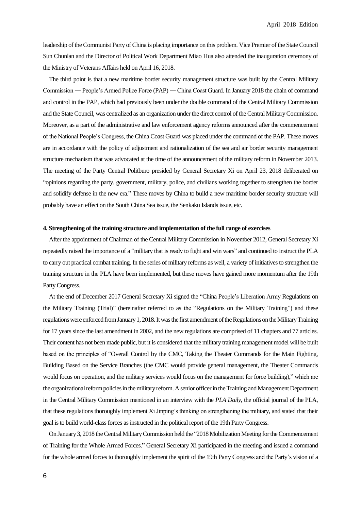leadership of the Communist Party of China is placing importance on this problem. Vice Premier of the State Council Sun Chunlan and the Director of Political Work Department Miao Hua also attended the inauguration ceremony of the Ministry of Veterans Affairs held on April 16, 2018.

The third point is that a new maritime border security management structure was built by the Central Military Commission ― People's Armed Police Force (PAP) ― China Coast Guard. In January 2018 the chain of command and control in the PAP, which had previously been under the double command of the Central Military Commission and the State Council, was centralized as an organization under the direct control of the Central Military Commission. Moreover, as a part of the administrative and law enforcement agency reforms announced after the commencement of the National People's Congress, the China Coast Guard was placed under the command of the PAP. These moves are in accordance with the policy of adjustment and rationalization of the sea and air border security management structure mechanism that was advocated at the time of the announcement of the military reform in November 2013. The meeting of the Party Central Politburo presided by General Secretary Xi on April 23, 2018 deliberated on "opinions regarding the party, government, military, police, and civilians working together to strengthen the border and solidify defense in the new era." These moves by China to build a new maritime border security structure will probably have an effect on the South China Sea issue, the Senkaku Islands issue, etc.

#### **4. Strengthening of the training structure and implementation of the full range of exercises**

After the appointment of Chairman of the Central Military Commission in November 2012, General Secretary Xi repeatedly raised the importance of a "military that is ready to fight and win wars" and continued to instruct the PLA to carry out practical combat training. In the series of military reforms as well, a variety of initiatives to strengthen the training structure in the PLA have been implemented, but these moves have gained more momentum after the 19th Party Congress.

At the end of December 2017 General Secretary Xi signed the "China People's Liberation Army Regulations on the Military Training (Trial)" (hereinafter referred to as the "Regulations on the Military Training") and these regulations were enforced from January 1, 2018. It was the first amendment of the Regulations on the Military Training for 17 years since the last amendment in 2002, and the new regulations are comprised of 11 chapters and 77 articles. Their content has not been made public, but it is considered that the military training management model will be built based on the principles of "Overall Control by the CMC, Taking the Theater Commands for the Main Fighting, Building Based on the Service Branches (the CMC would provide general management, the Theater Commands would focus on operation, and the military services would focus on the management for force building)," which are the organizational reform policies in the military reform. A senior officer in the Training and Management Department in the Central Military Commission mentioned in an interview with the *PLA Daily*, the official journal of the PLA, that these regulations thoroughly implement Xi Jinping's thinking on strengthening the military, and stated that their goal is to build world-class forces as instructed in the political report of the 19th Party Congress.

On January 3, 2018 the Central Military Commission held the "2018Mobilization Meeting for the Commencement of Training for the Whole Armed Forces." General Secretary Xi participated in the meeting and issued a command for the whole armed forces to thoroughly implement the spirit of the 19th Party Congress and the Party's vision of a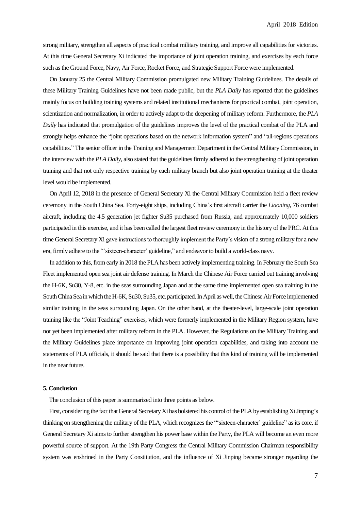strong military, strengthen all aspects of practical combat military training, and improve all capabilities for victories. At this time General Secretary Xi indicated the importance of joint operation training, and exercises by each force such asthe Ground Force, Navy, Air Force, Rocket Force, and Strategic Support Force were implemented.

On January 25 the Central Military Commission promulgated new Military Training Guidelines. The details of these Military Training Guidelines have not been made public, but the *PLA Daily* has reported that the guidelines mainly focus on building training systems and related institutional mechanisms for practical combat, joint operation, scientization and normalization, in order to actively adapt to the deepening of military reform. Furthermore, the *PLA Daily* has indicated that promulgation of the guidelines improves the level of the practical combat of the PLA and strongly helps enhance the "joint operations based on the network information system" and "all-regions operations capabilities." The senior officer in the Training and Management Department in the Central Military Commission, in the interview with the *PLA Daily*, also stated that the guidelines firmly adhered to the strengthening of joint operation training and that not only respective training by each military branch but also joint operation training at the theater level would be implemented.

On April 12, 2018 in the presence of General Secretary Xi the Central Military Commission held a fleet review ceremony in the South China Sea. Forty-eight ships, including China's first aircraft carrier the *Liaoning*, 76 combat aircraft, including the 4.5 generation jet fighter Su35 purchased from Russia, and approximately 10,000 soldiers participated in this exercise, and it has been called the largest fleet review ceremony in the history of the PRC. At this time General Secretary Xi gave instructions to thoroughly implement the Party's vision of a strong military for a new era, firmly adhere to the "'sixteen-character' guideline," and endeavor to build a world-class navy.

In addition to this, from early in 2018 the PLA has been actively implementing training. In February the South Sea Fleet implemented open sea joint air defense training. In March the Chinese Air Force carried out training involving the H-6K, Su30, Y-8, etc. in the seas surrounding Japan and at the same time implemented open sea training in the South China Sea in which the H-6K, Su30, Su35, etc. participated. In April as well, the Chinese Air Force implemented similar training in the seas surrounding Japan. On the other hand, at the theater-level, large-scale joint operation training like the "Joint Teaching" exercises, which were formerly implemented in the Military Region system, have not yet been implemented after military reform in the PLA. However, the Regulations on the Military Training and the Military Guidelines place importance on improving joint operation capabilities, and taking into account the statements of PLA officials, it should be said that there is a possibility that this kind of training will be implemented in the near future.

#### **5. Conclusion**

The conclusion of this paper is summarized into three points as below.

First, considering the fact that General Secretary Xi has bolstered his control of the PLA by establishing Xi Jinping's thinking on strengthening the military of the PLA, which recognizes the "'sixteen-character' guideline" as its core, if General Secretary Xi aims to further strengthen his power base within the Party, the PLA will become an even more powerful source of support. At the 19th Party Congress the Central Military Commission Chairman responsibility system was enshrined in the Party Constitution, and the influence of Xi Jinping became stronger regarding the